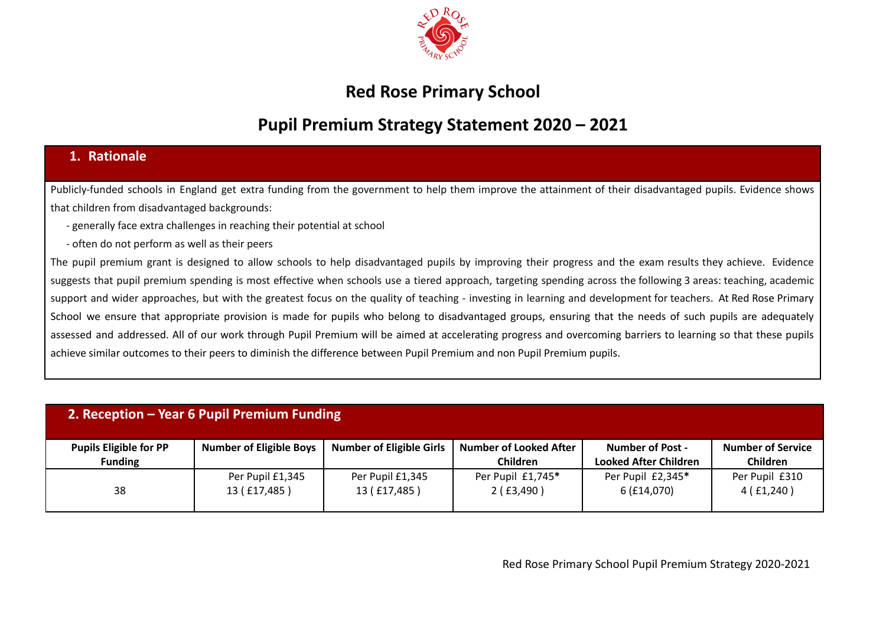

### **Red Rose Primary School**

# **Pupil Premium Strategy Statement 2020 – 2021**

### **1. Rationale**

Publicly-funded schools in England get extra funding from the government to help them improve the attainment of their disadvantaged pupils. Evidence shows that children from disadvantaged backgrounds:

- generally face extra challenges in reaching their potential at school
- often do not perform as well as their peers

The pupil premium grant is designed to allow schools to help disadvantaged pupils by improving their progress and the exam results they achieve. Evidence suggests that pupil premium spending is most effective when schools use a tiered approach, targeting spending across the following 3 areas: teaching, academic support and wider approaches, but with the greatest focus on the quality of teaching - investing in learning and development for teachers. At Red Rose Primary School we ensure that appropriate provision is made for pupils who belong to disadvantaged groups, ensuring that the needs of such pupils are adequately assessed and addressed. All of our work through Pupil Premium will be aimed at accelerating progress and overcoming barriers to learning so that these pupils achieve similar outcomes to their peers to diminish the difference between Pupil Premium and non Pupil Premium pupils.

| 2. Reception - Year 6 Pupil Premium Funding     |                                  |                                  |                                                  |                                                         |                                             |  |
|-------------------------------------------------|----------------------------------|----------------------------------|--------------------------------------------------|---------------------------------------------------------|---------------------------------------------|--|
| <b>Pupils Eligible for PP</b><br><b>Funding</b> | <b>Number of Eligible Boys</b>   | <b>Number of Eligible Girls</b>  | <b>Number of Looked After</b><br><b>Children</b> | <b>Number of Post -</b><br><b>Looked After Children</b> | <b>Number of Service</b><br><b>Children</b> |  |
| 38                                              | Per Pupil £1,345<br>13 (£17,485) | Per Pupil £1,345<br>13 (£17,485) | Per Pupil £1,745*<br>2(f5,490)                   | Per Pupil £2,345*<br>6 (£14,070)                        | Per Pupil £310<br>4(f1,240)                 |  |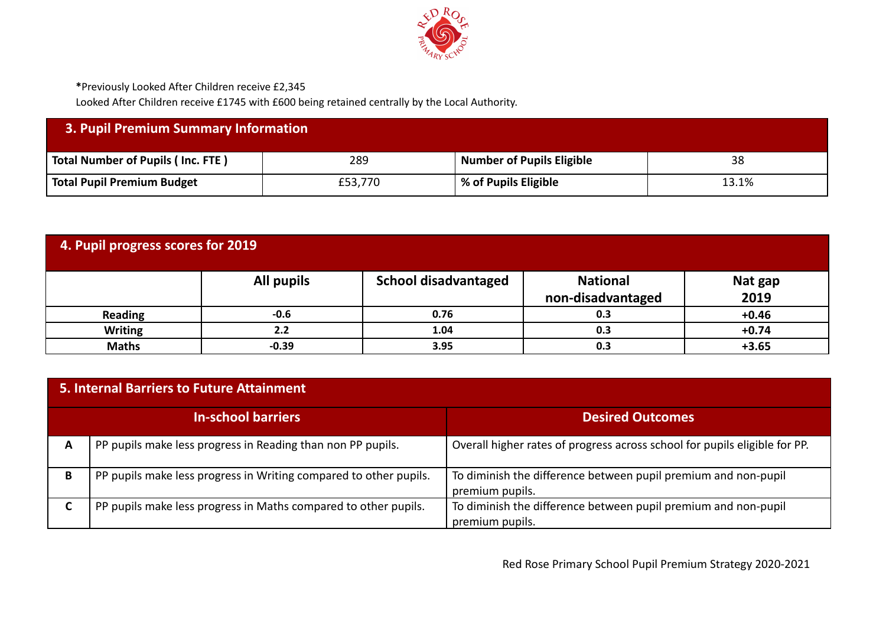

**\***Previously Looked After Children receive £2,345

Looked After Children receive £1745 with £600 being retained centrally by the Local Authority.

| <b>3. Pupil Premium Summary Information</b> |         |                                  |       |  |  |
|---------------------------------------------|---------|----------------------------------|-------|--|--|
| Total Number of Pupils (Inc. FTE)           | 289     | <b>Number of Pupils Eligible</b> | 38    |  |  |
| Total Pupil Premium Budget                  | £53,770 | % of Pupils Eligible             | 13.1% |  |  |

| 4. Pupil progress scores for 2019 |            |                             |                                      |                 |  |  |
|-----------------------------------|------------|-----------------------------|--------------------------------------|-----------------|--|--|
|                                   | All pupils | <b>School disadvantaged</b> | <b>National</b><br>non-disadvantaged | Nat gap<br>2019 |  |  |
| <b>Reading</b>                    | $-0.6$     | 0.76                        | 0.3                                  | $+0.46$         |  |  |
| <b>Writing</b>                    | 2.2        | 1.04                        | 0.3                                  | $+0.74$         |  |  |
| <b>Maths</b>                      | $-0.39$    | 3.95                        | 0.3                                  | $+3.65$         |  |  |

| 5. Internal Barriers to Future Attainment |                                                                   |                                                                                   |  |  |  |  |
|-------------------------------------------|-------------------------------------------------------------------|-----------------------------------------------------------------------------------|--|--|--|--|
|                                           | <b>In-school barriers</b>                                         | <b>Desired Outcomes</b>                                                           |  |  |  |  |
| A                                         | PP pupils make less progress in Reading than non PP pupils.       | Overall higher rates of progress across school for pupils eligible for PP.        |  |  |  |  |
| B                                         | PP pupils make less progress in Writing compared to other pupils. | To diminish the difference between pupil premium and non-pupil<br>premium pupils. |  |  |  |  |
| r                                         | PP pupils make less progress in Maths compared to other pupils.   | To diminish the difference between pupil premium and non-pupil<br>premium pupils. |  |  |  |  |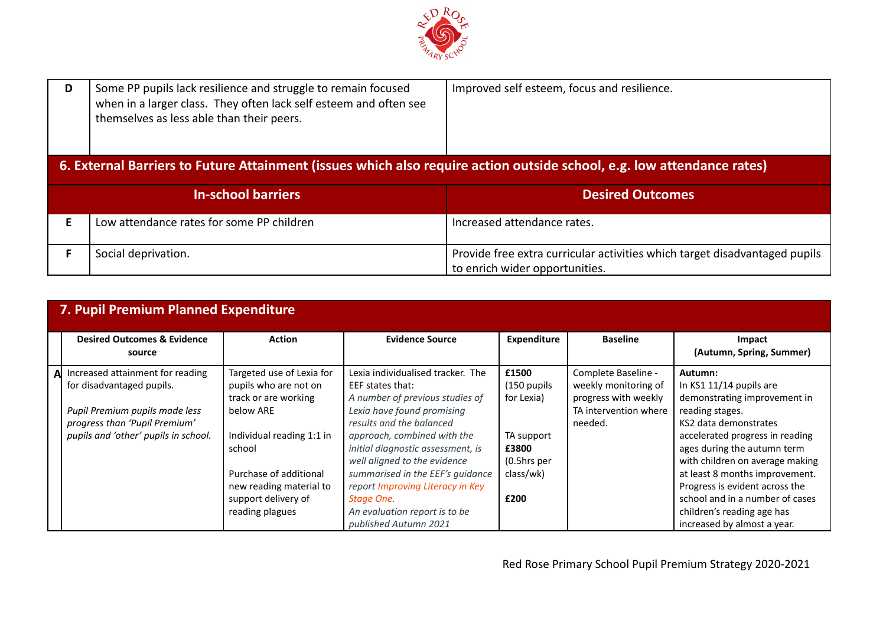

| Some PP pupils lack resilience and struggle to remain focused<br>D<br>when in a larger class. They often lack self esteem and often see<br>themselves as less able than their peers. |                                                                                                                        | Improved self esteem, focus and resilience.                                                                  |
|--------------------------------------------------------------------------------------------------------------------------------------------------------------------------------------|------------------------------------------------------------------------------------------------------------------------|--------------------------------------------------------------------------------------------------------------|
|                                                                                                                                                                                      | 6. External Barriers to Future Attainment (issues which also require action outside school, e.g. low attendance rates) |                                                                                                              |
|                                                                                                                                                                                      | <b>In-school barriers</b>                                                                                              | <b>Desired Outcomes</b>                                                                                      |
|                                                                                                                                                                                      | Low attendance rates for some PP children                                                                              | Increased attendance rates.                                                                                  |
|                                                                                                                                                                                      | Social deprivation.                                                                                                    | Provide free extra curricular activities which target disadvantaged pupils<br>to enrich wider opportunities. |

|    | 7. Pupil Premium Planned Expenditure                                                                                                                                     |                                                                                                                                                                                                            |                                                                                                                                                                                                                                                                                                                                              |                                                                                                   |                                                                                                         |                                                                                                                                                                                                                                                                                                                            |
|----|--------------------------------------------------------------------------------------------------------------------------------------------------------------------------|------------------------------------------------------------------------------------------------------------------------------------------------------------------------------------------------------------|----------------------------------------------------------------------------------------------------------------------------------------------------------------------------------------------------------------------------------------------------------------------------------------------------------------------------------------------|---------------------------------------------------------------------------------------------------|---------------------------------------------------------------------------------------------------------|----------------------------------------------------------------------------------------------------------------------------------------------------------------------------------------------------------------------------------------------------------------------------------------------------------------------------|
|    | <b>Desired Outcomes &amp; Evidence</b><br>source                                                                                                                         | <b>Action</b>                                                                                                                                                                                              | <b>Evidence Source</b>                                                                                                                                                                                                                                                                                                                       | <b>Expenditure</b>                                                                                | <b>Baseline</b>                                                                                         | Impact<br>(Autumn, Spring, Summer)                                                                                                                                                                                                                                                                                         |
| Al | Increased attainment for reading<br>for disadvantaged pupils.<br>Pupil Premium pupils made less<br>progress than 'Pupil Premium'<br>pupils and 'other' pupils in school. | Targeted use of Lexia for<br>pupils who are not on<br>track or are working<br>below ARE<br>Individual reading 1:1 in<br>school<br>Purchase of additional<br>new reading material to<br>support delivery of | Lexia individualised tracker. The<br>EEF states that:<br>A number of previous studies of<br>Lexia have found promising<br>results and the balanced<br>approach, combined with the<br>initial diagnostic assessment, is<br>well aligned to the evidence<br>summarised in the EEF's guidance<br>report Improving Literacy in Key<br>Stage One. | £1500<br>(150 pupils<br>for Lexia)<br>TA support<br>£3800<br>$(0.5)$ hrs per<br>class/wk)<br>£200 | Complete Baseline -<br>weekly monitoring of<br>progress with weekly<br>TA intervention where<br>needed. | Autumn:<br>In KS1 11/14 pupils are<br>demonstrating improvement in<br>reading stages.<br>KS2 data demonstrates<br>accelerated progress in reading<br>ages during the autumn term<br>with children on average making<br>at least 8 months improvement.<br>Progress is evident across the<br>school and in a number of cases |
|    |                                                                                                                                                                          | reading plagues                                                                                                                                                                                            | An evaluation report is to be<br>published Autumn 2021                                                                                                                                                                                                                                                                                       |                                                                                                   |                                                                                                         | children's reading age has<br>increased by almost a year.                                                                                                                                                                                                                                                                  |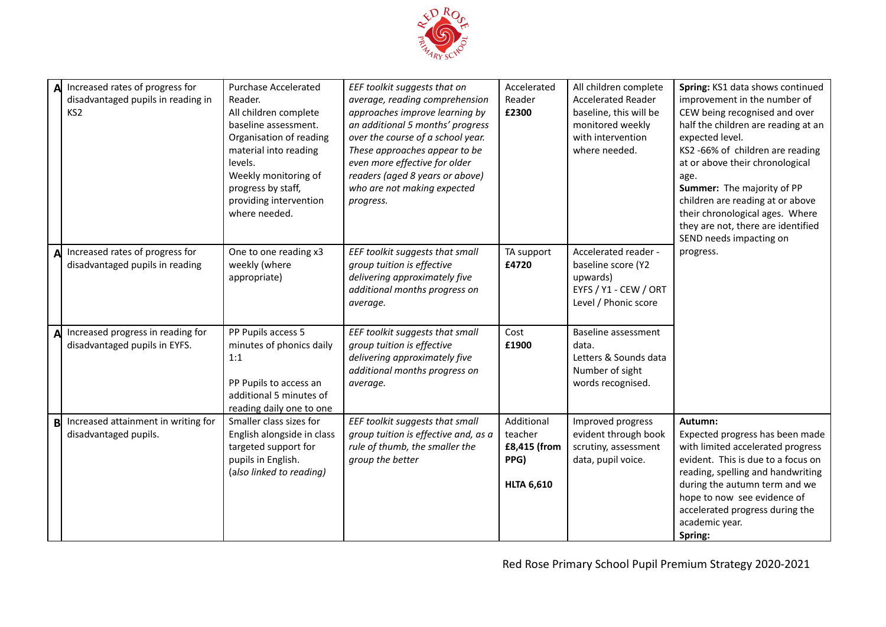

| Δl | Increased rates of progress for<br>disadvantaged pupils in reading in<br>KS <sub>2</sub> | <b>Purchase Accelerated</b><br>Reader.<br>All children complete<br>baseline assessment.<br>Organisation of reading<br>material into reading<br>levels.<br>Weekly monitoring of<br>progress by staff,<br>providing intervention<br>where needed. | EEF toolkit suggests that on<br>average, reading comprehension<br>approaches improve learning by<br>an additional 5 months' progress<br>over the course of a school year.<br>These approaches appear to be<br>even more effective for older<br>readers (aged 8 years or above)<br>who are not making expected<br>progress. | Accelerated<br>Reader<br>£2300                                     | All children complete<br><b>Accelerated Reader</b><br>baseline, this will be<br>monitored weekly<br>with intervention<br>where needed. | Spring: KS1 data shows continued<br>improvement in the number of<br>CEW being recognised and over<br>half the children are reading at an<br>expected level.<br>KS2 -66% of children are reading<br>at or above their chronological<br>age.<br>Summer: The majority of PP<br>children are reading at or above<br>their chronological ages. Where<br>they are not, there are identified<br>SEND needs impacting on |
|----|------------------------------------------------------------------------------------------|-------------------------------------------------------------------------------------------------------------------------------------------------------------------------------------------------------------------------------------------------|----------------------------------------------------------------------------------------------------------------------------------------------------------------------------------------------------------------------------------------------------------------------------------------------------------------------------|--------------------------------------------------------------------|----------------------------------------------------------------------------------------------------------------------------------------|------------------------------------------------------------------------------------------------------------------------------------------------------------------------------------------------------------------------------------------------------------------------------------------------------------------------------------------------------------------------------------------------------------------|
| A  | Increased rates of progress for<br>disadvantaged pupils in reading                       | One to one reading x3<br>weekly (where<br>appropriate)                                                                                                                                                                                          | EEF toolkit suggests that small<br>group tuition is effective<br>delivering approximately five<br>additional months progress on<br>average.                                                                                                                                                                                | TA support<br>£4720                                                | Accelerated reader -<br>baseline score (Y2<br>upwards)<br>EYFS / Y1 - CEW / ORT<br>Level / Phonic score                                | progress.                                                                                                                                                                                                                                                                                                                                                                                                        |
| A  | Increased progress in reading for<br>disadvantaged pupils in EYFS.                       | PP Pupils access 5<br>minutes of phonics daily<br>1:1<br>PP Pupils to access an<br>additional 5 minutes of<br>reading daily one to one                                                                                                          | EEF toolkit suggests that small<br>group tuition is effective<br>delivering approximately five<br>additional months progress on<br>average.                                                                                                                                                                                | Cost<br>£1900                                                      | Baseline assessment<br>data.<br>Letters & Sounds data<br>Number of sight<br>words recognised.                                          |                                                                                                                                                                                                                                                                                                                                                                                                                  |
| B  | Increased attainment in writing for<br>disadvantaged pupils.                             | Smaller class sizes for<br>English alongside in class<br>targeted support for<br>pupils in English.<br>(also linked to reading)                                                                                                                 | EEF toolkit suggests that small<br>group tuition is effective and, as a<br>rule of thumb, the smaller the<br>group the better                                                                                                                                                                                              | Additional<br>teacher<br>£8,415 (from<br>PPG)<br><b>HLTA 6,610</b> | Improved progress<br>evident through book<br>scrutiny, assessment<br>data, pupil voice.                                                | Autumn:<br>Expected progress has been made<br>with limited accelerated progress<br>evident. This is due to a focus on<br>reading, spelling and handwriting<br>during the autumn term and we<br>hope to now see evidence of<br>accelerated progress during the<br>academic year.<br>Spring:                                                                                                                       |

Red Rose Primary School Pupil Premium Strategy 2020-2021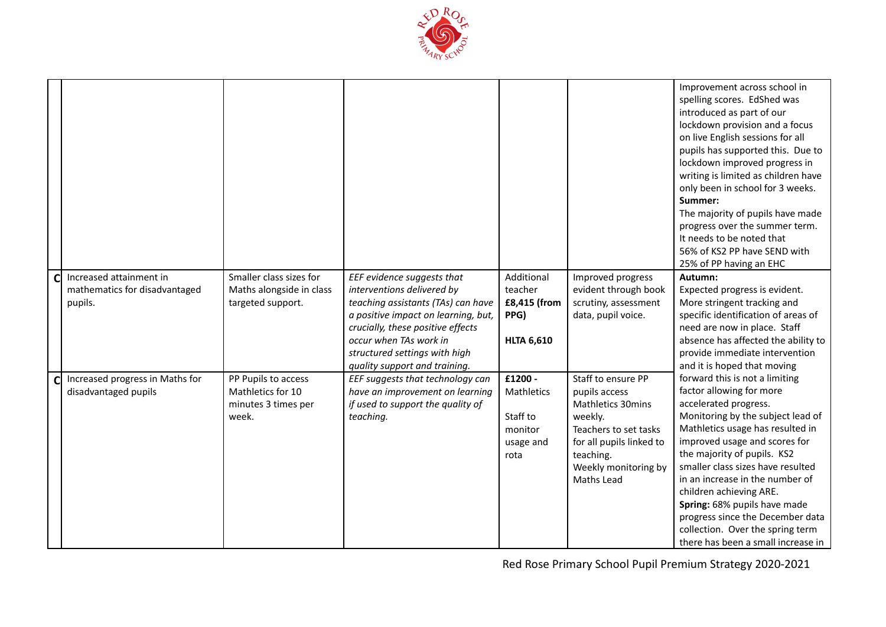

|             |                                                                     |                                                                          |                                                                                                                                                                                                                                                                        |                                                                    |                                                                                                                                                                                    | Improvement across school in<br>spelling scores. EdShed was<br>introduced as part of our<br>lockdown provision and a focus<br>on live English sessions for all<br>pupils has supported this. Due to<br>lockdown improved progress in<br>writing is limited as children have<br>only been in school for 3 weeks.<br>Summer:<br>The majority of pupils have made<br>progress over the summer term.<br>It needs to be noted that<br>56% of KS2 PP have SEND with<br>25% of PP having an EHC |
|-------------|---------------------------------------------------------------------|--------------------------------------------------------------------------|------------------------------------------------------------------------------------------------------------------------------------------------------------------------------------------------------------------------------------------------------------------------|--------------------------------------------------------------------|------------------------------------------------------------------------------------------------------------------------------------------------------------------------------------|------------------------------------------------------------------------------------------------------------------------------------------------------------------------------------------------------------------------------------------------------------------------------------------------------------------------------------------------------------------------------------------------------------------------------------------------------------------------------------------|
| $\mathbf C$ | Increased attainment in<br>mathematics for disadvantaged<br>pupils. | Smaller class sizes for<br>Maths alongside in class<br>targeted support. | EEF evidence suggests that<br>interventions delivered by<br>teaching assistants (TAs) can have<br>a positive impact on learning, but,<br>crucially, these positive effects<br>occur when TAs work in<br>structured settings with high<br>quality support and training. | Additional<br>teacher<br>£8,415 (from<br>PPG)<br><b>HLTA 6,610</b> | Improved progress<br>evident through book<br>scrutiny, assessment<br>data, pupil voice.                                                                                            | Autumn:<br>Expected progress is evident.<br>More stringent tracking and<br>specific identification of areas of<br>need are now in place. Staff<br>absence has affected the ability to<br>provide immediate intervention<br>and it is hoped that moving                                                                                                                                                                                                                                   |
| Cl          | Increased progress in Maths for<br>disadvantaged pupils             | PP Pupils to access<br>Mathletics for 10<br>minutes 3 times per<br>week. | EEF suggests that technology can<br>have an improvement on learning<br>if used to support the quality of<br>teaching.                                                                                                                                                  | £1200 -<br>Mathletics<br>Staff to<br>monitor<br>usage and<br>rota  | Staff to ensure PP<br>pupils access<br><b>Mathletics 30mins</b><br>weekly.<br>Teachers to set tasks<br>for all pupils linked to<br>teaching.<br>Weekly monitoring by<br>Maths Lead | forward this is not a limiting<br>factor allowing for more<br>accelerated progress.<br>Monitoring by the subject lead of<br>Mathletics usage has resulted in<br>improved usage and scores for<br>the majority of pupils. KS2<br>smaller class sizes have resulted<br>in an increase in the number of<br>children achieving ARE.<br>Spring: 68% pupils have made<br>progress since the December data<br>collection. Over the spring term<br>there has been a small increase in            |

Red Rose Primary School Pupil Premium Strategy 2020-2021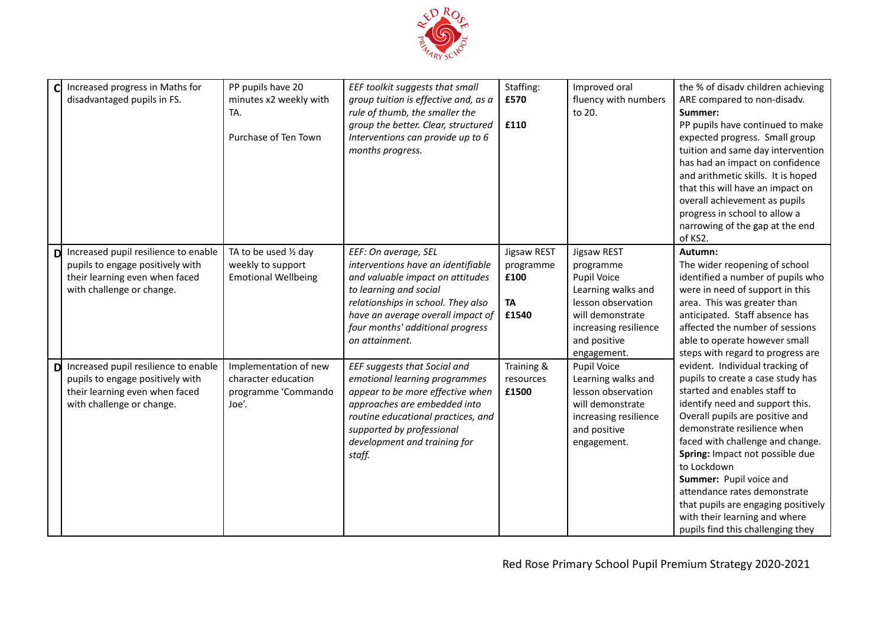

| Increased progress in Maths for<br>disadvantaged pupils in FS.                                                                               | PP pupils have 20<br>minutes x2 weekly with<br>TA.<br>Purchase of Ten Town   | EEF toolkit suggests that small<br>group tuition is effective and, as a<br>rule of thumb, the smaller the<br>group the better. Clear, structured<br>Interventions can provide up to 6<br>months progress.                                                 | Staffing:<br>£570<br>£110                              | Improved oral<br>fluency with numbers<br>to 20.                                                                                                                 | the % of disadv children achieving<br>ARE compared to non-disadv.<br>Summer:<br>PP pupils have continued to make<br>expected progress. Small group<br>tuition and same day intervention<br>has had an impact on confidence<br>and arithmetic skills. It is hoped<br>that this will have an impact on<br>overall achievement as pupils<br>progress in school to allow a<br>narrowing of the gap at the end<br>of KS2.                                                    |
|----------------------------------------------------------------------------------------------------------------------------------------------|------------------------------------------------------------------------------|-----------------------------------------------------------------------------------------------------------------------------------------------------------------------------------------------------------------------------------------------------------|--------------------------------------------------------|-----------------------------------------------------------------------------------------------------------------------------------------------------------------|-------------------------------------------------------------------------------------------------------------------------------------------------------------------------------------------------------------------------------------------------------------------------------------------------------------------------------------------------------------------------------------------------------------------------------------------------------------------------|
| Increased pupil resilience to enable<br>D<br>pupils to engage positively with<br>their learning even when faced<br>with challenge or change. | TA to be used 1/2 day<br>weekly to support<br><b>Emotional Wellbeing</b>     | EEF: On average, SEL<br>interventions have an identifiable<br>and valuable impact on attitudes<br>to learning and social<br>relationships in school. They also<br>have an average overall impact of<br>four months' additional progress<br>on attainment. | Jigsaw REST<br>programme<br>£100<br><b>TA</b><br>£1540 | Jigsaw REST<br>programme<br>Pupil Voice<br>Learning walks and<br>lesson observation<br>will demonstrate<br>increasing resilience<br>and positive<br>engagement. | Autumn:<br>The wider reopening of school<br>identified a number of pupils who<br>were in need of support in this<br>area. This was greater than<br>anticipated. Staff absence has<br>affected the number of sessions<br>able to operate however small<br>steps with regard to progress are                                                                                                                                                                              |
| Increased pupil resilience to enable<br>D<br>pupils to engage positively with<br>their learning even when faced<br>with challenge or change. | Implementation of new<br>character education<br>programme 'Commando<br>Joe'. | EEF suggests that Social and<br>emotional learning programmes<br>appear to be more effective when<br>approaches are embedded into<br>routine educational practices, and<br>supported by professional<br>development and training for<br>staff.            | Training &<br>resources<br>£1500                       | Pupil Voice<br>Learning walks and<br>lesson observation<br>will demonstrate<br>increasing resilience<br>and positive<br>engagement.                             | evident. Individual tracking of<br>pupils to create a case study has<br>started and enables staff to<br>identify need and support this.<br>Overall pupils are positive and<br>demonstrate resilience when<br>faced with challenge and change.<br>Spring: Impact not possible due<br>to Lockdown<br>Summer: Pupil voice and<br>attendance rates demonstrate<br>that pupils are engaging positively<br>with their learning and where<br>pupils find this challenging they |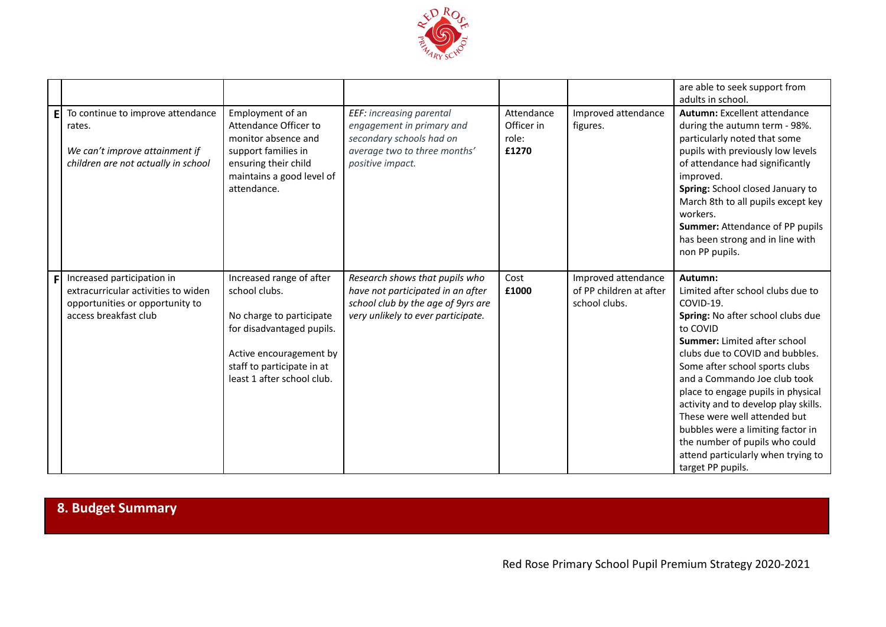

|                |                                                                                                                               |                                                                                                                                                                                           |                                                                                                                                                 |                                            |                                                                 | are able to seek support from<br>adults in school.                                                                                                                                                                                                                                                                                                                                                                                                                                              |
|----------------|-------------------------------------------------------------------------------------------------------------------------------|-------------------------------------------------------------------------------------------------------------------------------------------------------------------------------------------|-------------------------------------------------------------------------------------------------------------------------------------------------|--------------------------------------------|-----------------------------------------------------------------|-------------------------------------------------------------------------------------------------------------------------------------------------------------------------------------------------------------------------------------------------------------------------------------------------------------------------------------------------------------------------------------------------------------------------------------------------------------------------------------------------|
| E              | To continue to improve attendance<br>rates.<br>We can't improve attainment if<br>children are not actually in school          | Employment of an<br>Attendance Officer to<br>monitor absence and<br>support families in<br>ensuring their child<br>maintains a good level of<br>attendance.                               | EEF: increasing parental<br>engagement in primary and<br>secondary schools had on<br>average two to three months'<br>positive impact.           | Attendance<br>Officer in<br>role:<br>£1270 | Improved attendance<br>figures.                                 | <b>Autumn: Excellent attendance</b><br>during the autumn term - 98%.<br>particularly noted that some<br>pupils with previously low levels<br>of attendance had significantly<br>improved.<br>Spring: School closed January to<br>March 8th to all pupils except key<br>workers.<br>Summer: Attendance of PP pupils<br>has been strong and in line with<br>non PP pupils.                                                                                                                        |
| F <sub>1</sub> | Increased participation in<br>extracurricular activities to widen<br>opportunities or opportunity to<br>access breakfast club | Increased range of after<br>school clubs.<br>No charge to participate<br>for disadvantaged pupils.<br>Active encouragement by<br>staff to participate in at<br>least 1 after school club. | Research shows that pupils who<br>have not participated in an after<br>school club by the age of 9yrs are<br>very unlikely to ever participate. | Cost<br>£1000                              | Improved attendance<br>of PP children at after<br>school clubs. | Autumn:<br>Limited after school clubs due to<br>COVID-19.<br>Spring: No after school clubs due<br>to COVID<br>Summer: Limited after school<br>clubs due to COVID and bubbles.<br>Some after school sports clubs<br>and a Commando Joe club took<br>place to engage pupils in physical<br>activity and to develop play skills.<br>These were well attended but<br>bubbles were a limiting factor in<br>the number of pupils who could<br>attend particularly when trying to<br>target PP pupils. |

# **8. Budget Summary**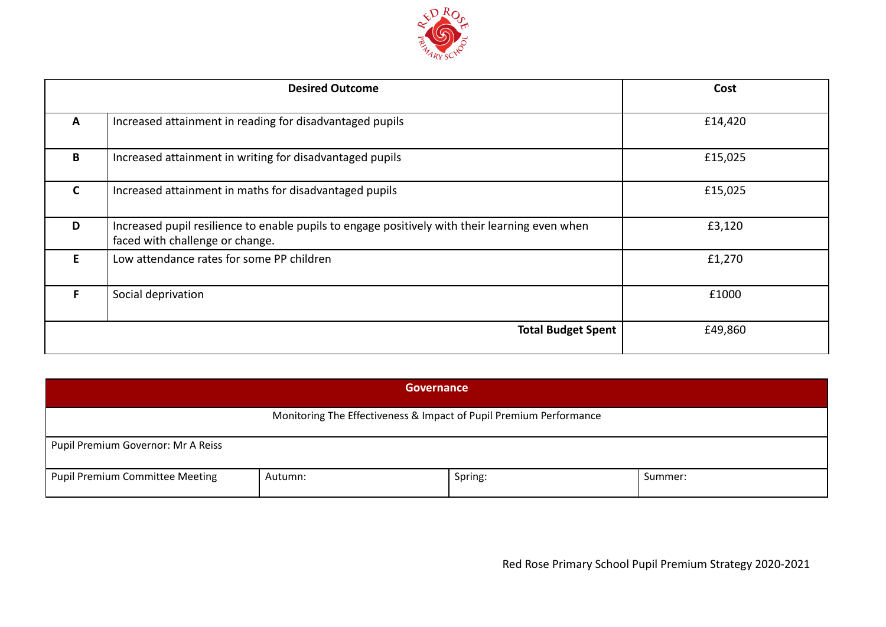

|              | <b>Desired Outcome</b>                                                                                                            | Cost    |
|--------------|-----------------------------------------------------------------------------------------------------------------------------------|---------|
| Α            | Increased attainment in reading for disadvantaged pupils                                                                          | £14,420 |
| B            | Increased attainment in writing for disadvantaged pupils                                                                          | £15,025 |
| $\mathsf{C}$ | Increased attainment in maths for disadvantaged pupils                                                                            | £15,025 |
| D            | Increased pupil resilience to enable pupils to engage positively with their learning even when<br>faced with challenge or change. | £3,120  |
| F.           | Low attendance rates for some PP children                                                                                         | £1,270  |
| F            | Social deprivation                                                                                                                | £1000   |
|              | <b>Total Budget Spent</b>                                                                                                         | £49,860 |

| Governance                                                         |         |         |         |  |  |
|--------------------------------------------------------------------|---------|---------|---------|--|--|
| Monitoring The Effectiveness & Impact of Pupil Premium Performance |         |         |         |  |  |
| Pupil Premium Governor: Mr A Reiss                                 |         |         |         |  |  |
| Pupil Premium Committee Meeting                                    | Autumn: | Spring: | Summer: |  |  |